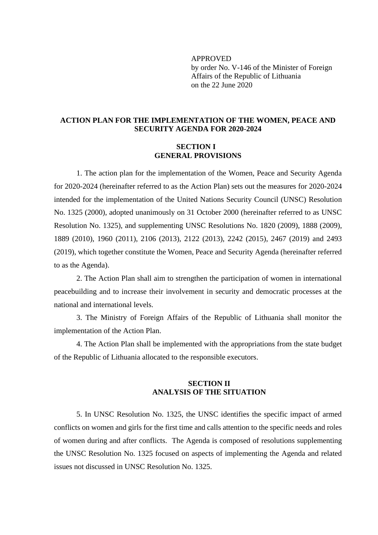APPROVED by order No. V-146 of the Minister of Foreign Affairs of the Republic of Lithuania on the 22 June 2020

## **ACTION PLAN FOR THE IMPLEMENTATION OF THE WOMEN, PEACE AND SECURITY AGENDA FOR 2020**-**2024**

## **SECTION I GENERAL PROVISIONS**

1. The action plan for the implementation of the Women, Peace and Security Agenda for 2020-2024 (hereinafter referred to as the Action Plan) sets out the measures for 2020-2024 intended for the implementation of the United Nations Security Council (UNSC) Resolution No. 1325 (2000), adopted unanimously on 31 October 2000 (hereinafter referred to as UNSC Resolution No. 1325), and supplementing UNSC Resolutions No. 1820 (2009), 1888 (2009), 1889 (2010), 1960 (2011), 2106 (2013), 2122 (2013), 2242 (2015), 2467 (2019) and 2493 (2019), which together constitute the Women, Peace and Security Agenda (hereinafter referred to as the Agenda).

2. The Action Plan shall aim to strengthen the participation of women in international peacebuilding and to increase their involvement in security and democratic processes at the national and international levels.

3. The Ministry of Foreign Affairs of the Republic of Lithuania shall monitor the implementation of the Action Plan.

4. The Action Plan shall be implemented with the appropriations from the state budget of the Republic of Lithuania allocated to the responsible executors.

## **SECTION II ANALYSIS OF THE SITUATION**

5. In UNSC Resolution No. 1325, the UNSC identifies the specific impact of armed conflicts on women and girls for the first time and calls attention to the specific needs and roles of women during and after conflicts. The Agenda is composed of resolutions supplementing the UNSC Resolution No. 1325 focused on aspects of implementing the Agenda and related issues not discussed in UNSC Resolution No. 1325.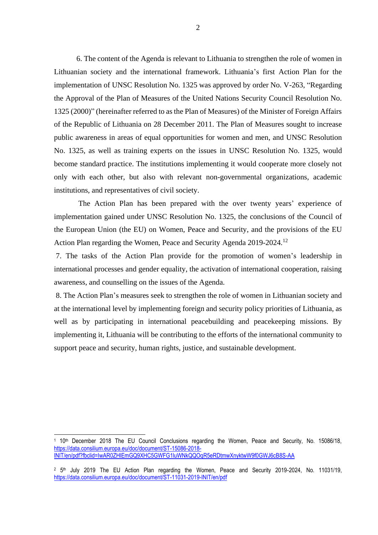6. The content of the Agenda is relevant to Lithuania to strengthen the role of women in Lithuanian society and the international framework. Lithuania's first Action Plan for the implementation of UNSC Resolution No. 1325 was approved by order No. V-263, "Regarding the Approval of the Plan of Measures of the United Nations Security Council Resolution No. 1325 (2000)" (hereinafter referred to as the Plan of Measures) of the Minister of Foreign Affairs of the Republic of Lithuania on 28 December 2011. The Plan of Measures sought to increase public awareness in areas of equal opportunities for women and men, and UNSC Resolution No. 1325, as well as training experts on the issues in UNSC Resolution No. 1325, would become standard practice. The institutions implementing it would cooperate more closely not only with each other, but also with relevant non-governmental organizations, academic institutions, and representatives of civil society.

The Action Plan has been prepared with the over twenty years' experience of implementation gained under UNSC Resolution No. 1325, the conclusions of the Council of the European Union (the EU) on Women, Peace and Security, and the provisions of the EU Action Plan regarding the Women, Peace and Security Agenda 2019-2024.<sup>12</sup>

7. The tasks of the Action Plan provide for the promotion of women's leadership in international processes and gender equality, the activation of international cooperation, raising awareness, and counselling on the issues of the Agenda.

8. The Action Plan's measures seek to strengthen the role of women in Lithuanian society and at the international level by implementing foreign and security policy priorities of Lithuania, as well as by participating in international peacebuilding and peacekeeping missions. By implementing it, Lithuania will be contributing to the efforts of the international community to support peace and security, human rights, justice, and sustainable development.

<sup>1</sup> 10th December 2018 The EU Council Conclusions regarding the Women, Peace and Security, No. 15086/18, [https://data.consilium.europa.eu/doc/document/ST-15086-2018-](https://data.consilium.europa.eu/doc/document/ST-15086-2018-INIT/lt/pdf?fbclid=IwAR0ZHlEmGQ9XHC5GWFG1luWNkQQOqR5eRDtmwXnyktwW9f0GWJ6cB8S-AA4) [INIT/en/pdf?fbclid=IwAR0ZHlEmGQ9XHC5GWFG1luWNkQQOqR5eRDtmwXnyktwW9f0GWJ6cB8S-AA](https://data.consilium.europa.eu/doc/document/ST-15086-2018-INIT/lt/pdf?fbclid=IwAR0ZHlEmGQ9XHC5GWFG1luWNkQQOqR5eRDtmwXnyktwW9f0GWJ6cB8S-AA4)

<sup>&</sup>lt;sup>2</sup> 5<sup>th</sup> July 2019 The EU Action Plan regarding the Women, Peace and Security 2019-2024, No. 11031/19, <https://data.consilium.europa.eu/doc/document/ST-11031-2019-INIT/en/pdf>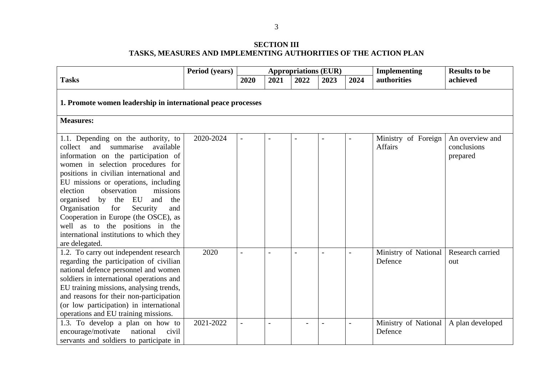## **SECTION III TASKS, MEASURES AND IMPLEMENTING AUTHORITIES OF THE ACTION PLAN**

|                                                                                                                                                                                                                                                                                                                                                                                                                                                                                                      | Period (years) | <b>Appropriations (EUR)</b> |      |      |      |      | Implementing                    | <b>Results to be</b>                       |  |  |
|------------------------------------------------------------------------------------------------------------------------------------------------------------------------------------------------------------------------------------------------------------------------------------------------------------------------------------------------------------------------------------------------------------------------------------------------------------------------------------------------------|----------------|-----------------------------|------|------|------|------|---------------------------------|--------------------------------------------|--|--|
| <b>Tasks</b>                                                                                                                                                                                                                                                                                                                                                                                                                                                                                         |                | 2020                        | 2021 | 2022 | 2023 | 2024 | authorities                     | achieved                                   |  |  |
| 1. Promote women leadership in international peace processes<br><b>Measures:</b>                                                                                                                                                                                                                                                                                                                                                                                                                     |                |                             |      |      |      |      |                                 |                                            |  |  |
| 1.1. Depending on the authority, to<br>collect and summarise<br>available<br>information on the participation of<br>women in selection procedures for<br>positions in civilian international and<br>EU missions or operations, including<br>observation<br>election<br>missions<br>organised by the EU<br>and the<br>Organisation<br>for<br>Security<br>and<br>Cooperation in Europe (the OSCE), as<br>well as to the positions in the<br>international institutions to which they<br>are delegated. | 2020-2024      | $\overline{\phantom{a}}$    |      |      |      |      | Ministry of Foreign<br>Affairs  | An overview and<br>conclusions<br>prepared |  |  |
| 1.2. To carry out independent research<br>regarding the participation of civilian<br>national defence personnel and women<br>soldiers in international operations and<br>EU training missions, analysing trends,<br>and reasons for their non-participation<br>(or low participation) in international<br>operations and EU training missions.                                                                                                                                                       | 2020           |                             |      |      |      |      | Ministry of National<br>Defence | Research carried<br>out                    |  |  |
| 1.3. To develop a plan on how to<br>encourage/motivate<br>national<br>civil<br>servants and soldiers to participate in                                                                                                                                                                                                                                                                                                                                                                               | 2021-2022      |                             |      |      |      |      | Ministry of National<br>Defence | A plan developed                           |  |  |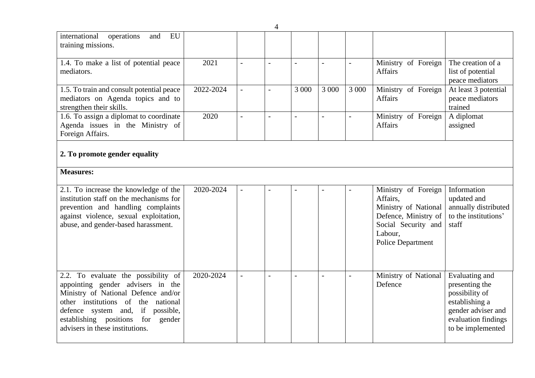|                                                                                                                                                                                                                                                                   |           |                | $\overline{4}$           |       |                |                          |                                                                                                                                               |                                                                                                                                        |
|-------------------------------------------------------------------------------------------------------------------------------------------------------------------------------------------------------------------------------------------------------------------|-----------|----------------|--------------------------|-------|----------------|--------------------------|-----------------------------------------------------------------------------------------------------------------------------------------------|----------------------------------------------------------------------------------------------------------------------------------------|
| international<br>EU<br>operations<br>and<br>training missions.                                                                                                                                                                                                    |           |                |                          |       |                |                          |                                                                                                                                               |                                                                                                                                        |
| 1.4. To make a list of potential peace<br>mediators.                                                                                                                                                                                                              | 2021      | $\overline{a}$ | $\overline{\phantom{a}}$ |       | $\blacksquare$ | $\equiv$                 | Ministry of Foreign<br>Affairs                                                                                                                | The creation of a<br>list of potential<br>peace mediators                                                                              |
| 1.5. To train and consult potential peace<br>mediators on Agenda topics and to<br>strengthen their skills.                                                                                                                                                        | 2022-2024 | $\equiv$       | $\overline{\phantom{a}}$ | 3 000 | 3 0 0 0        | 3 000                    | Ministry of Foreign<br><b>Affairs</b>                                                                                                         | At least 3 potential<br>peace mediators<br>trained                                                                                     |
| 1.6. To assign a diplomat to coordinate<br>Agenda issues in the Ministry of<br>Foreign Affairs.                                                                                                                                                                   | 2020      | $\overline{a}$ |                          |       |                | $\overline{a}$           | Ministry of Foreign<br><b>Affairs</b>                                                                                                         | A diplomat<br>assigned                                                                                                                 |
| 2. To promote gender equality                                                                                                                                                                                                                                     |           |                |                          |       |                |                          |                                                                                                                                               |                                                                                                                                        |
| <b>Measures:</b>                                                                                                                                                                                                                                                  |           |                |                          |       |                |                          |                                                                                                                                               |                                                                                                                                        |
| 2.1. To increase the knowledge of the<br>institution staff on the mechanisms for<br>prevention and handling complaints<br>against violence, sexual exploitation,<br>abuse, and gender-based harassment.                                                           | 2020-2024 | $\equiv$       | $\overline{\phantom{a}}$ |       |                |                          | Ministry of Foreign<br>Affairs,<br>Ministry of National<br>Defence, Ministry of<br>Social Security and<br>Labour,<br><b>Police Department</b> | Information<br>updated and<br>annually distributed<br>to the institutions'<br>staff                                                    |
| 2.2. To evaluate the possibility of<br>appointing gender advisers in the<br>Ministry of National Defence and/or<br>other institutions of the national<br>defence system and, if possible,<br>establishing positions for gender<br>advisers in these institutions. | 2020-2024 | $\overline{a}$ | $\overline{\phantom{a}}$ |       | $\overline{a}$ | $\overline{\phantom{a}}$ | Ministry of National<br>Defence                                                                                                               | Evaluating and<br>presenting the<br>possibility of<br>establishing a<br>gender adviser and<br>evaluation findings<br>to be implemented |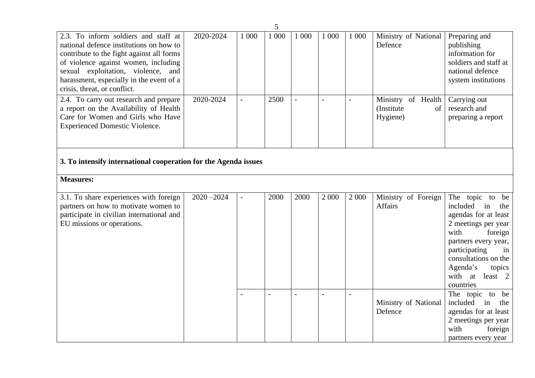|                                                                                                                                                                                                                                                                                        |               |                | 5                        |       |         |                          |                                                     |                                                                                                                                                                                                                                            |
|----------------------------------------------------------------------------------------------------------------------------------------------------------------------------------------------------------------------------------------------------------------------------------------|---------------|----------------|--------------------------|-------|---------|--------------------------|-----------------------------------------------------|--------------------------------------------------------------------------------------------------------------------------------------------------------------------------------------------------------------------------------------------|
| 2.3. To inform soldiers and staff at<br>national defence institutions on how to<br>contribute to the fight against all forms<br>of violence against women, including<br>sexual exploitation, violence, and<br>harassment, especially in the event of a<br>crisis, threat, or conflict. | 2020-2024     | 1 000          | 1 000                    | 1 000 | 1 0 0 0 | 1 0 0 0                  | Ministry of National<br>Defence                     | Preparing and<br>publishing<br>information for<br>soldiers and staff at<br>national defence<br>system institutions                                                                                                                         |
| 2.4. To carry out research and prepare<br>a report on the Availability of Health<br>Care for Women and Girls who Have<br><b>Experienced Domestic Violence.</b>                                                                                                                         | 2020-2024     | $\overline{a}$ | 2500                     |       |         | $\overline{\phantom{a}}$ | Ministry of Health<br>(Institute)<br>of<br>Hygiene) | Carrying out<br>research and<br>preparing a report                                                                                                                                                                                         |
| 3. To intensify international cooperation for the Agenda issues                                                                                                                                                                                                                        |               |                |                          |       |         |                          |                                                     |                                                                                                                                                                                                                                            |
| <b>Measures:</b>                                                                                                                                                                                                                                                                       |               |                |                          |       |         |                          |                                                     |                                                                                                                                                                                                                                            |
| 3.1. To share experiences with foreign<br>partners on how to motivate women to<br>participate in civilian international and<br>EU missions or operations.                                                                                                                              | $2020 - 2024$ | $\blacksquare$ | 2000                     | 2000  | 2 0 0 0 | 2 0 0 0                  | Ministry of Foreign<br>Affairs                      | The topic to be<br>included<br>in<br>the<br>agendas for at least<br>2 meetings per year<br>with<br>foreign<br>partners every year,<br>participating<br>in<br>consultations on the<br>Agenda's<br>topics<br>with at<br>least 2<br>countries |
|                                                                                                                                                                                                                                                                                        |               |                | $\overline{\phantom{a}}$ |       |         | $\overline{a}$           | Ministry of National<br>Defence                     | The topic to<br>be<br>included<br>in<br>the<br>agendas for at least<br>2 meetings per year<br>with<br>foreign<br>partners every year                                                                                                       |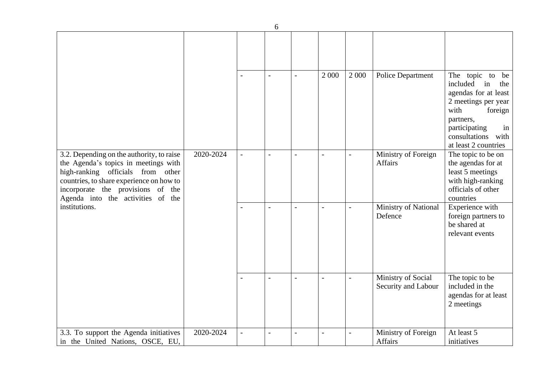| 6                                                                                                                                                                                                                                                             |           |                          |                          |                |                |                |                                           |                                                                                                                                                                                              |  |  |
|---------------------------------------------------------------------------------------------------------------------------------------------------------------------------------------------------------------------------------------------------------------|-----------|--------------------------|--------------------------|----------------|----------------|----------------|-------------------------------------------|----------------------------------------------------------------------------------------------------------------------------------------------------------------------------------------------|--|--|
|                                                                                                                                                                                                                                                               |           |                          |                          |                |                |                |                                           |                                                                                                                                                                                              |  |  |
|                                                                                                                                                                                                                                                               |           | $\overline{\phantom{a}}$ | $\overline{\phantom{a}}$ |                | 2 0 0 0        | 2 0 0 0        | <b>Police Department</b>                  | The topic to be<br>included<br>in<br>the<br>agendas for at least<br>2 meetings per year<br>with<br>foreign<br>partners,<br>participating<br>in<br>consultations with<br>at least 2 countries |  |  |
| 3.2. Depending on the authority, to raise<br>the Agenda's topics in meetings with<br>high-ranking officials from other<br>countries, to share experience on how to<br>incorporate the provisions of the<br>Agenda into the activities of the<br>institutions. | 2020-2024 | $\overline{\phantom{a}}$ | $\overline{a}$           | $\overline{a}$ | $\sim$         |                | Ministry of Foreign<br>Affairs            | The topic to be on<br>the agendas for at<br>least 5 meetings<br>with high-ranking<br>officials of other<br>countries                                                                         |  |  |
|                                                                                                                                                                                                                                                               |           |                          | $\overline{a}$           |                |                |                | Ministry of National<br>Defence           | Experience with<br>foreign partners to<br>be shared at<br>relevant events                                                                                                                    |  |  |
|                                                                                                                                                                                                                                                               |           | $\overline{a}$           |                          |                | $\overline{a}$ | $\blacksquare$ | Ministry of Social<br>Security and Labour | The topic to be<br>included in the<br>agendas for at least<br>2 meetings                                                                                                                     |  |  |
| 3.3. To support the Agenda initiatives<br>in the United Nations, OSCE, EU,                                                                                                                                                                                    | 2020-2024 | $\overline{a}$           | $\overline{a}$           |                |                |                | Ministry of Foreign<br>Affairs            | At least 5<br>initiatives                                                                                                                                                                    |  |  |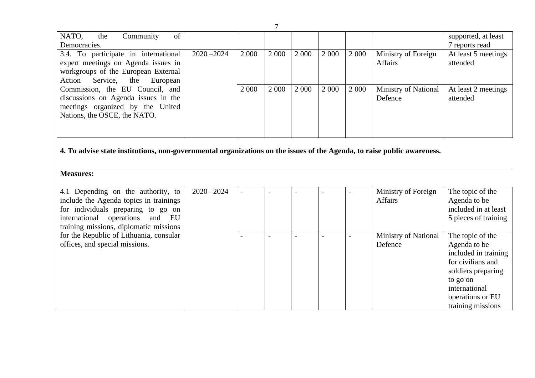| 7                                                                                                                                                                                                                                                                                                         |               |                          |                |         |                |                |                                 |                                                                                                                                                                           |  |
|-----------------------------------------------------------------------------------------------------------------------------------------------------------------------------------------------------------------------------------------------------------------------------------------------------------|---------------|--------------------------|----------------|---------|----------------|----------------|---------------------------------|---------------------------------------------------------------------------------------------------------------------------------------------------------------------------|--|
| NATO,<br>Community<br>of<br>the<br>Democracies.                                                                                                                                                                                                                                                           |               |                          |                |         |                |                |                                 | supported, at least<br>7 reports read                                                                                                                                     |  |
| 3.4. To participate in international<br>expert meetings on Agenda issues in<br>workgroups of the European External<br>Service,<br>the<br>European<br>Action<br>Commission, the EU Council, and<br>discussions on Agenda issues in the<br>meetings organized by the United<br>Nations, the OSCE, the NATO. | $2020 - 2024$ | 2 0 0 0                  | 2 0 0 0        | 2 0 0 0 | 2 0 0 0        | 2 0 0 0        | Ministry of Foreign<br>Affairs  | At least 5 meetings<br>attended                                                                                                                                           |  |
|                                                                                                                                                                                                                                                                                                           |               | 2 0 0 0                  | 2 0 0 0        | 2 0 0 0 | 2 0 0 0        | 2 0 0 0        | Ministry of National<br>Defence | At least 2 meetings<br>attended                                                                                                                                           |  |
| 4. To advise state institutions, non-governmental organizations on the issues of the Agenda, to raise public awareness.                                                                                                                                                                                   |               |                          |                |         |                |                |                                 |                                                                                                                                                                           |  |
| <b>Measures:</b>                                                                                                                                                                                                                                                                                          |               |                          |                |         |                |                |                                 |                                                                                                                                                                           |  |
| 4.1 Depending on the authority, to<br>include the Agenda topics in trainings<br>for individuals preparing to go on<br>international operations<br>and EU<br>training missions, diplomatic missions                                                                                                        | $2020 - 2024$ | $\overline{\phantom{a}}$ | $\overline{a}$ |         |                |                | Ministry of Foreign<br>Affairs  | The topic of the<br>Agenda to be<br>included in at least<br>5 pieces of training                                                                                          |  |
| for the Republic of Lithuania, consular<br>offices, and special missions.                                                                                                                                                                                                                                 |               |                          | $\sim$         |         | $\overline{a}$ | $\overline{a}$ | Ministry of National<br>Defence | The topic of the<br>Agenda to be<br>included in training<br>for civilians and<br>soldiers preparing<br>to go on<br>international<br>operations or EU<br>training missions |  |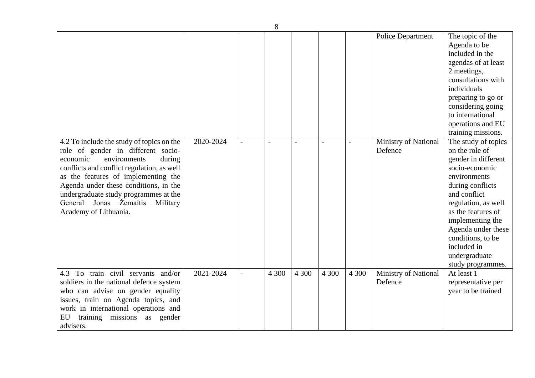| 8                                                                                                                                                                                                                                                                                                                                                           |           |                |       |       |                |         |                                 |                                                                                                                                                                                                                                                                                                     |  |
|-------------------------------------------------------------------------------------------------------------------------------------------------------------------------------------------------------------------------------------------------------------------------------------------------------------------------------------------------------------|-----------|----------------|-------|-------|----------------|---------|---------------------------------|-----------------------------------------------------------------------------------------------------------------------------------------------------------------------------------------------------------------------------------------------------------------------------------------------------|--|
|                                                                                                                                                                                                                                                                                                                                                             |           |                |       |       |                |         | <b>Police Department</b>        | The topic of the<br>Agenda to be<br>included in the<br>agendas of at least<br>2 meetings,<br>consultations with<br>individuals<br>preparing to go or<br>considering going<br>to international<br>operations and EU<br>training missions.                                                            |  |
| 4.2 To include the study of topics on the<br>role of gender in different socio-<br>environments<br>economic<br>during<br>conflicts and conflict regulation, as well<br>as the features of implementing the<br>Agenda under these conditions, in the<br>undergraduate study programmes at the<br>General Jonas Žemaitis<br>Military<br>Academy of Lithuania. | 2020-2024 |                |       |       | $\overline{a}$ |         | Ministry of National<br>Defence | The study of topics<br>on the role of<br>gender in different<br>socio-economic<br>environments<br>during conflicts<br>and conflict<br>regulation, as well<br>as the features of<br>implementing the<br>Agenda under these<br>conditions, to be<br>included in<br>undergraduate<br>study programmes. |  |
| 4.3 To train civil servants and/or<br>soldiers in the national defence system<br>who can advise on gender equality<br>issues, train on Agenda topics, and<br>work in international operations and<br>training missions as gender<br>EU<br>advisers.                                                                                                         | 2021-2024 | $\overline{a}$ | 4 300 | 4 300 | 4 300          | 4 3 0 0 | Ministry of National<br>Defence | At least 1<br>representative per<br>year to be trained                                                                                                                                                                                                                                              |  |